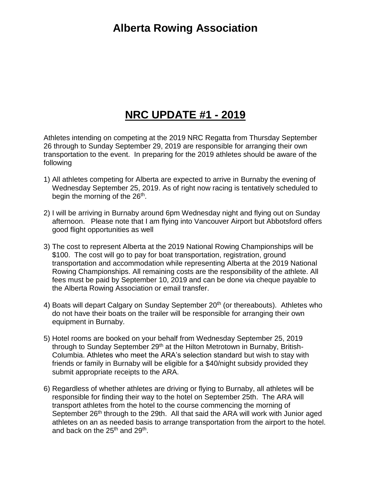## **Alberta Rowing Association**

## **NRC UPDATE #1 - 2019**

Athletes intending on competing at the 2019 NRC Regatta from Thursday September 26 through to Sunday September 29, 2019 are responsible for arranging their own transportation to the event. In preparing for the 2019 athletes should be aware of the following

- 1) All athletes competing for Alberta are expected to arrive in Burnaby the evening of Wednesday September 25, 2019. As of right now racing is tentatively scheduled to begin the morning of the 26<sup>th</sup>.
- 2) I will be arriving in Burnaby around 6pm Wednesday night and flying out on Sunday afternoon. Please note that I am flying into Vancouver Airport but Abbotsford offers good flight opportunities as well
- 3) The cost to represent Alberta at the 2019 National Rowing Championships will be \$100. The cost will go to pay for boat transportation, registration, ground transportation and accommodation while representing Alberta at the 2019 National Rowing Championships. All remaining costs are the responsibility of the athlete. All fees must be paid by September 10, 2019 and can be done via cheque payable to the Alberta Rowing Association or email transfer.
- 4) Boats will depart Calgary on Sunday September 20<sup>th</sup> (or thereabouts). Athletes who do not have their boats on the trailer will be responsible for arranging their own equipment in Burnaby.
- 5) Hotel rooms are booked on your behalf from Wednesday September 25, 2019 through to Sunday September 29<sup>th</sup> at the Hilton Metrotown in Burnaby, British-Columbia. Athletes who meet the ARA's selection standard but wish to stay with friends or family in Burnaby will be eligible for a \$40/night subsidy provided they submit appropriate receipts to the ARA.
- 6) Regardless of whether athletes are driving or flying to Burnaby, all athletes will be responsible for finding their way to the hotel on September 25th. The ARA will transport athletes from the hotel to the course commencing the morning of September 26<sup>th</sup> through to the 29th. All that said the ARA will work with Junior aged athletes on an as needed basis to arrange transportation from the airport to the hotel. and back on the 25<sup>th</sup> and 29<sup>th</sup>.